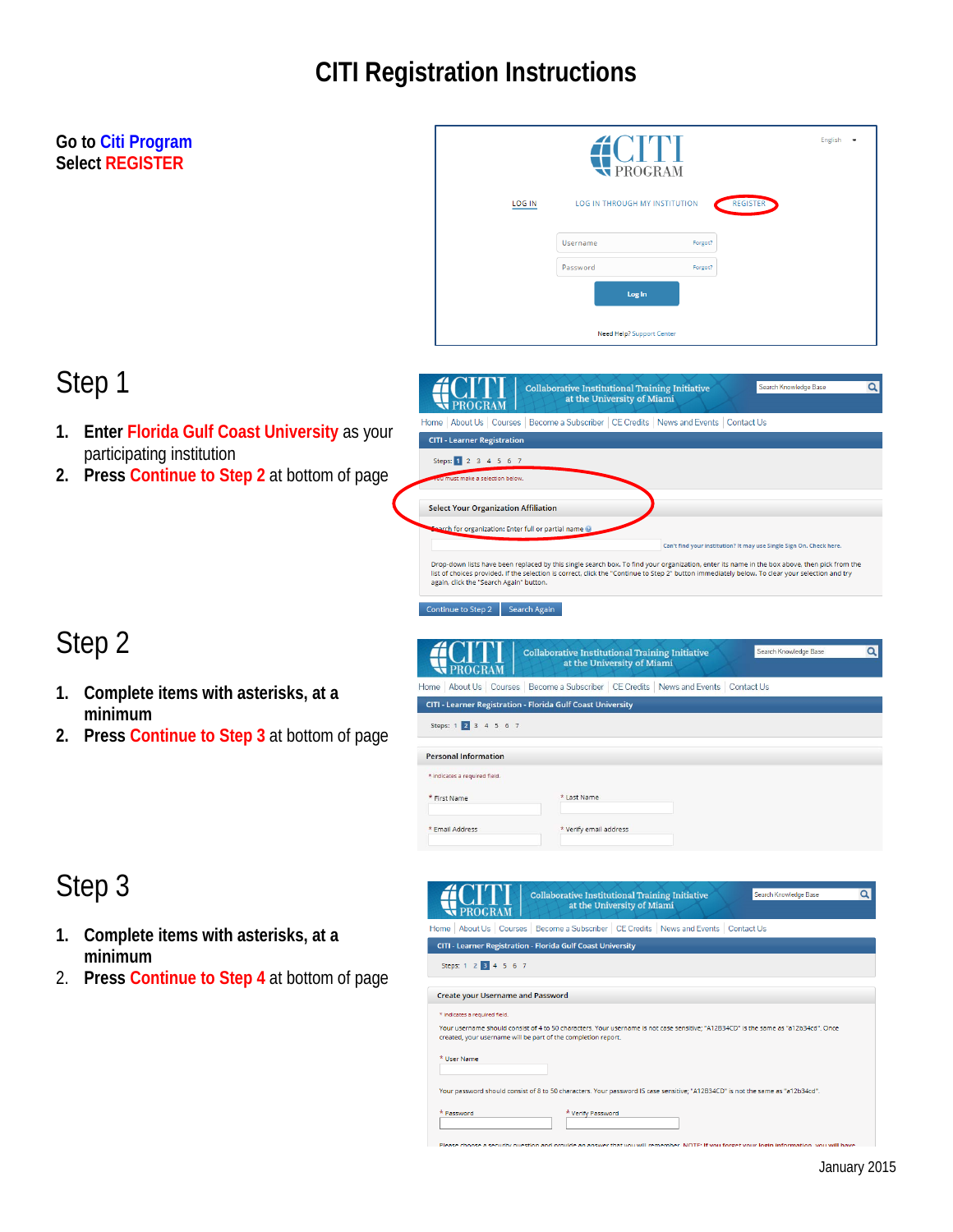# **CITI Registration Instructions**

| Search Knowledge Base<br>Q                                                                                                                                                                                                                                                                      |  |
|-------------------------------------------------------------------------------------------------------------------------------------------------------------------------------------------------------------------------------------------------------------------------------------------------|--|
|                                                                                                                                                                                                                                                                                                 |  |
|                                                                                                                                                                                                                                                                                                 |  |
|                                                                                                                                                                                                                                                                                                 |  |
|                                                                                                                                                                                                                                                                                                 |  |
| Can't find your institution? It may use Single Sign On. Check here.                                                                                                                                                                                                                             |  |
| Drop-down lists have been replaced by this single search box. To find your organization, enter its name in the box above, then pick from the<br>list of choices provided. If the selection is correct, click the "Continue to Step 2" button immediately below. To clear your selection and try |  |
|                                                                                                                                                                                                                                                                                                 |  |
| $\alpha$<br>Search Knowledge Base                                                                                                                                                                                                                                                               |  |
|                                                                                                                                                                                                                                                                                                 |  |
|                                                                                                                                                                                                                                                                                                 |  |
|                                                                                                                                                                                                                                                                                                 |  |
|                                                                                                                                                                                                                                                                                                 |  |
|                                                                                                                                                                                                                                                                                                 |  |
|                                                                                                                                                                                                                                                                                                 |  |
|                                                                                                                                                                                                                                                                                                 |  |
| Q                                                                                                                                                                                                                                                                                               |  |
|                                                                                                                                                                                                                                                                                                 |  |
| Steps: 1 2 3 4 5 6 7                                                                                                                                                                                                                                                                            |  |
|                                                                                                                                                                                                                                                                                                 |  |
| Your username should consist of 4 to 50 characters. Your username is not case sensitive; "A12B34CD" is the same as "a12b34cd". Once                                                                                                                                                             |  |
|                                                                                                                                                                                                                                                                                                 |  |
|                                                                                                                                                                                                                                                                                                 |  |
|                                                                                                                                                                                                                                                                                                 |  |
|                                                                                                                                                                                                                                                                                                 |  |
|                                                                                                                                                                                                                                                                                                 |  |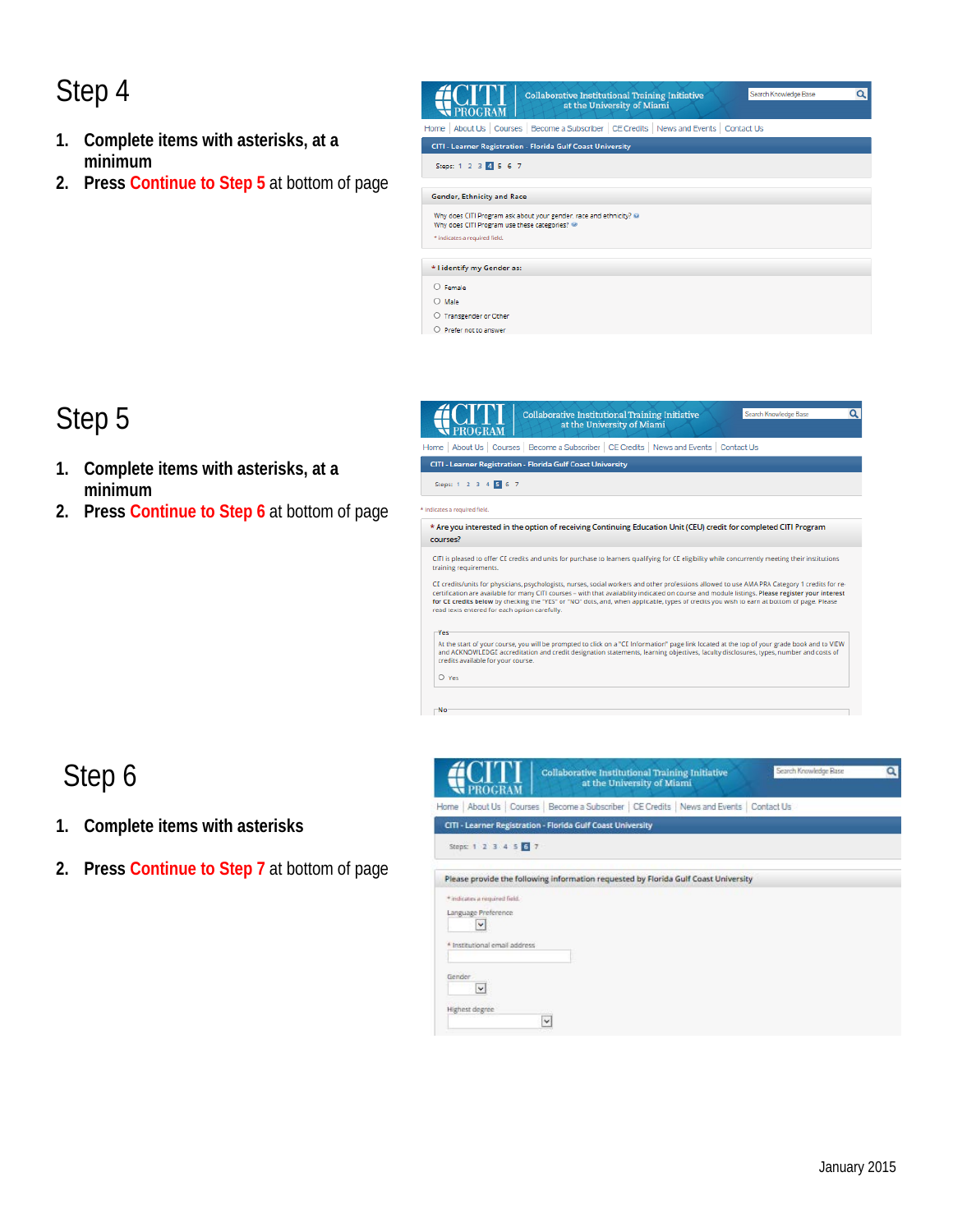## Step 4

- **1. Complete items with asterisks, at a minimum**
- **2. Press Continue to Step 5** at bottom of page



Search Knowledge Base

 $\overline{a}$ 

#### Step 5

- **1. Complete items with asterisks, at a minimum**
- **2. Press Continue to Step 6** at bottom of page



#### Step 6

- **1. Complete items with asterisks**
- **2. Press Continue to Step 7** at bottom of page

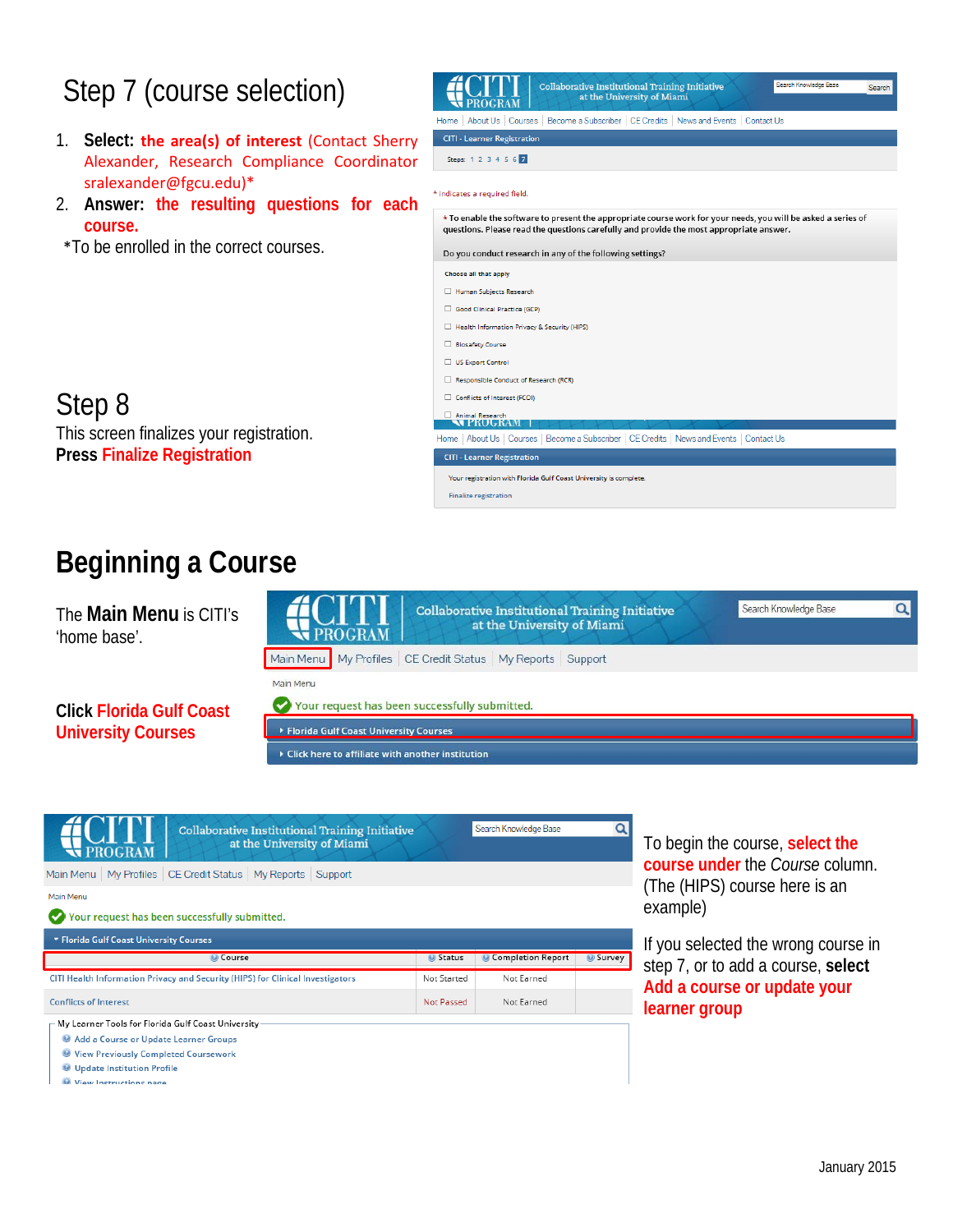## Step 7 (course selection)

- 1. **Select: the area(s) of interest** (Contact Sherry Alexander, Research Compliance Coordinator sralexander@fgcu.edu)\*
- 2. **Answer: the resulting questions for each course.**
- \*To be enrolled in the correct courses.



# **Press Finalize Registration**

Step 8

### **Beginning a Course**

This screen finalizes your registration.

The **Main Menu** is CITI's 'home base'.

**Click Florida Gulf Coast University Courses** 



**Finalize registration** 

 $\blacktriangleright$  Click here to affiliate with another institution



**O** Update Institution Profile

Wiew Instructions nade

To begin the course, **select the course under** the *Course* column. (The (HIPS) course here is an example)

If you selected the wrong course in step 7, or to add a course, **select Add a course or update your learner group**